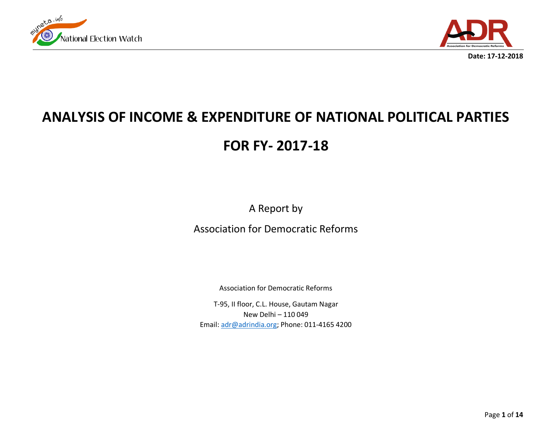



**Date: 17-12-2018**

# **ANALYSIS OF INCOME & EXPENDITURE OF NATIONAL POLITICAL PARTIES**

## **FOR FY- 2017-18**

A Report by

Association for Democratic Reforms

Association for Democratic Reforms

T-95, II floor, C.L. House, Gautam Nagar New Delhi – 110 049 Email[: adr@adrindia.org;](mailto:adr@adrindia.org) Phone: 011-4165 4200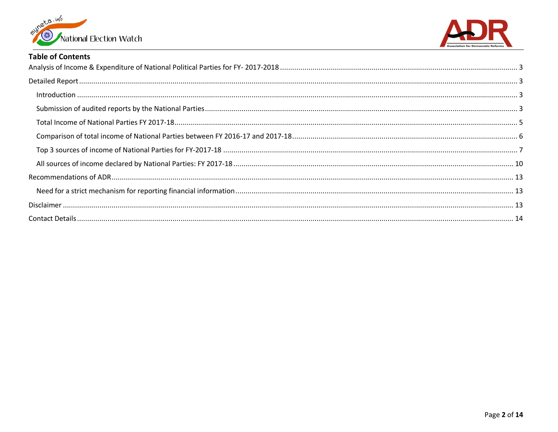



#### **Table of Contents**

| $\label{f:1} \mbox{Introduction} \,\, \ldots \,\, \ldots \,\, \ldots \,\, \ldots \,\, \ldots \,\, \ldots \,\, \ldots \,\, \ldots \,\, \ldots \,\, \ldots \,\, \ldots \,\, \ldots \,\, \ldots \,\, \ldots \,\, \ldots \,\, \ldots \,\, \ldots \,\, \ldots \,\, \ldots \,\, \ldots \,\, \ldots \,\, \ldots \,\, \ldots \,\, \ldots \,\, \ldots \,\, \ldots \,\, \ldots \,\, \ldots \,\, \ldots \,\, \ldots \,\, \ldots \,\, \ldots \,\, \ldots \,\, \ldots \,\,$ |  |
|----------------------------------------------------------------------------------------------------------------------------------------------------------------------------------------------------------------------------------------------------------------------------------------------------------------------------------------------------------------------------------------------------------------------------------------------------------------|--|
|                                                                                                                                                                                                                                                                                                                                                                                                                                                                |  |
|                                                                                                                                                                                                                                                                                                                                                                                                                                                                |  |
|                                                                                                                                                                                                                                                                                                                                                                                                                                                                |  |
|                                                                                                                                                                                                                                                                                                                                                                                                                                                                |  |
|                                                                                                                                                                                                                                                                                                                                                                                                                                                                |  |
|                                                                                                                                                                                                                                                                                                                                                                                                                                                                |  |
|                                                                                                                                                                                                                                                                                                                                                                                                                                                                |  |
|                                                                                                                                                                                                                                                                                                                                                                                                                                                                |  |
|                                                                                                                                                                                                                                                                                                                                                                                                                                                                |  |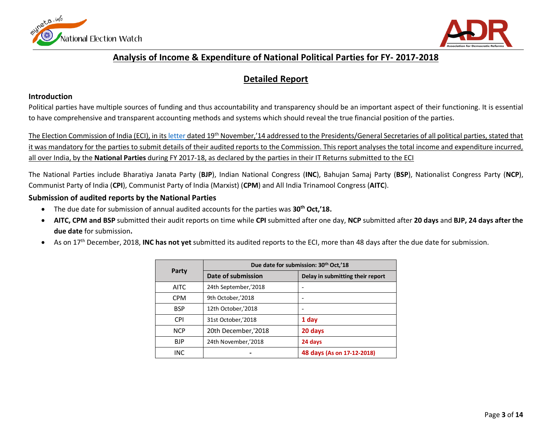<span id="page-2-0"></span>



## **Analysis of Income & Expenditure of National Political Parties for FY- 2017-2018**

## **Detailed Report**

#### <span id="page-2-2"></span><span id="page-2-1"></span>**Introduction**

Political parties have multiple sources of funding and thus accountability and transparency should be an important aspect of their functioning. It is essential to have comprehensive and transparent accounting methods and systems which should reveal the true financial position of the parties.

The Election Commission of India (ECI), in it[s letter](http://eci.nic.in/eci_main1/PolPar/Transparency/Clarification%20of%20Transparency%20guideline%20for%20political%20parties.pdf) dated 19<sup>th</sup> November,'14 addressed to the Presidents/General Secretaries of all political parties, stated that it was mandatory for the parties to submit details of their audited reports to the Commission. This report analyses the total income and expenditure incurred, all over India, by the **National Parties** during FY 2017-18, as declared by the parties in their IT Returns submitted to the ECI

The National Parties include Bharatiya Janata Party (**BJP**), Indian National Congress (**INC**), Bahujan Samaj Party (**BSP**), Nationalist Congress Party (**NCP**), Communist Party of India (**CPI**), Communist Party of India (Marxist) (**CPM**) and All India Trinamool Congress (**AITC**).

#### <span id="page-2-3"></span>**Submission of audited reports by the National Parties**

- The due date for submission of annual audited accounts for the parties was **30th Oct,'18.**
- **AITC, CPM and BSP** submitted their audit reports on time while **CPI** submitted after one day, **NCP** submitted after **20 days** and **BJP, 24 days after the due date** for submission**.**
- As on 17th December, 2018, **INC has not yet** submitted its audited reports to the ECI, more than 48 days after the due date for submission.

|             | Due date for submission: 30th Oct,'18 |                                  |  |  |  |
|-------------|---------------------------------------|----------------------------------|--|--|--|
| Party       | Date of submission                    | Delay in submitting their report |  |  |  |
| <b>AITC</b> | 24th September,'2018                  |                                  |  |  |  |
| <b>CPM</b>  | 9th October,'2018                     |                                  |  |  |  |
| <b>BSP</b>  | 12th October,'2018                    |                                  |  |  |  |
| <b>CPI</b>  | 31st October,'2018                    | 1 day                            |  |  |  |
| <b>NCP</b>  | 20th December,'2018                   | 20 days                          |  |  |  |
| <b>BJP</b>  | 24th November,'2018                   | 24 days                          |  |  |  |
| INC         |                                       | 48 days (As on 17-12-2018)       |  |  |  |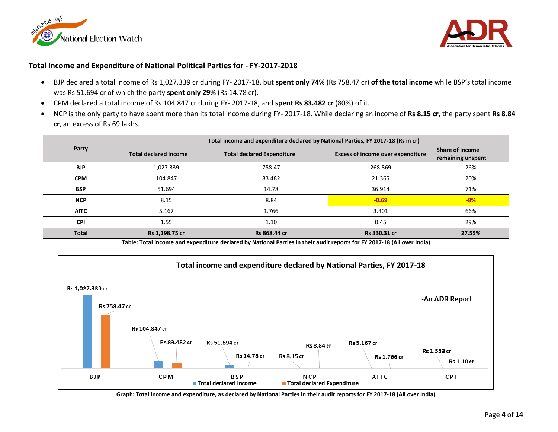



#### **Total Income and Expenditure of National Political Parties for - FY-2017-2018**

- BJP declared a total income of Rs 1,027.339 cr during FY- 2017-18, but **spent only 74%** (Rs 758.47 cr) **of the total income** while BSP's total income was Rs 51.694 cr of which the party **spent only 29%** (Rs 14.78 cr).
- CPM declared a total income of Rs 104.847 cr during FY- 2017-18, and **spent Rs 83.482 cr** (80%) of it.
- NCP is the only party to have spent more than its total income during FY- 2017-18. While declaring an income of **Rs 8.15 cr**, the party spent **Rs 8.84 cr**, an excess of Rs 69 lakhs.

|              | Total income and expenditure declared by National Parties, FY 2017-18 (Rs in cr) |                                   |                                          |                                             |  |  |  |  |
|--------------|----------------------------------------------------------------------------------|-----------------------------------|------------------------------------------|---------------------------------------------|--|--|--|--|
| Party        | <b>Total declared Income</b>                                                     | <b>Total declared Expenditure</b> | <b>Excess of income over expenditure</b> | <b>Share of income</b><br>remaining unspent |  |  |  |  |
| <b>BJP</b>   | 1,027.339                                                                        | 758.47                            | 268.869                                  | 26%                                         |  |  |  |  |
| <b>CPM</b>   | 104.847                                                                          | 83.482                            | 21.365                                   | 20%                                         |  |  |  |  |
| <b>BSP</b>   | 51.694                                                                           | 14.78                             | 36.914                                   | 71%                                         |  |  |  |  |
| <b>NCP</b>   | 8.15                                                                             | 8.84                              | $-0.69$                                  | $-8%$                                       |  |  |  |  |
| <b>AITC</b>  | 5.167                                                                            | 1.766                             | 3.401                                    | 66%                                         |  |  |  |  |
| <b>CPI</b>   | 1.55                                                                             | 1.10                              | 0.45                                     | 29%                                         |  |  |  |  |
| <b>Total</b> | Rs 1,198.75 cr                                                                   | Rs 868.44 cr                      | Rs 330.31 cr                             | 27.55%                                      |  |  |  |  |

**Table: Total income and expenditure declared by National Parties in their audit reports for FY 2017-18 (All over India)**



**Graph: Total income and expenditure, as declared by National Parties in their audit reports for FY 2017-18 (All over India)**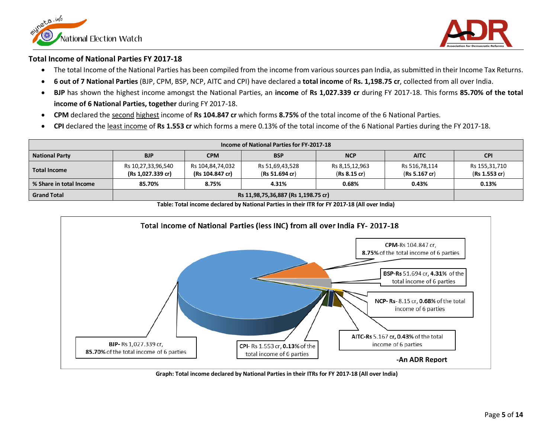



#### <span id="page-4-0"></span>**Total Income of National Parties FY 2017-18**

- The total Income of the National Parties has been compiled from the income from various sources pan India, as submitted in their Income Tax Returns.
- **6 out of 7 National Parties** (BJP, CPM, BSP, NCP, AITC and CPI) have declared a **total income** of **Rs. 1,198.75 cr**, collected from all over India.
- **BJP** has shown the highest income amongst the National Parties, an **income** of **Rs 1,027.339 cr** during FY 2017-18. This forms **85.70% of the total income of 6 National Parties, together** during FY 2017-18.
- **CPM** declared the second highest income of **Rs 104.847 cr** which forms **8.75%** of the total income of the 6 National Parties.
- **CPI** declared the least income of **Rs 1.553 cr** which forms a mere 0.13% of the total income of the 6 National Parties during the FY 2017-18.

| Income of National Parties for FY-2017-18 |                                         |                                     |                                   |                                |                                |                                |
|-------------------------------------------|-----------------------------------------|-------------------------------------|-----------------------------------|--------------------------------|--------------------------------|--------------------------------|
| <b>National Party</b>                     | <b>BJP</b>                              | <b>CPM</b>                          | <b>BSP</b>                        | <b>NCP</b>                     | <b>AITC</b>                    | <b>CPI</b>                     |
| <b>Total Income</b>                       | Rs 10,27,33,96,540<br>(Rs 1,027.339 cr) | Rs 104,84,74,032<br>(Rs 104.847 cr) | Rs 51,69,43,528<br>(Rs 51.694 cr) | Rs 8,15,12,963<br>(Rs 8.15 cr) | Rs 516,78,114<br>(Rs 5.167 cr) | Rs 155,31,710<br>(Rs 1.553 cr) |
| % Share in total Income                   | 85.70%                                  | 8.75%                               | 4.31%                             | 0.68%                          | 0.43%                          | 0.13%                          |
| <b>Grand Total</b>                        | Rs 11,98,75,36,887 (Rs 1,198.75 cr)     |                                     |                                   |                                |                                |                                |

**Table: Total income declared by National Parties in their ITR for FY 2017-18 (All over India)**



**Graph: Total income declared by National Parties in their ITRs for FY 2017-18 (All over India)**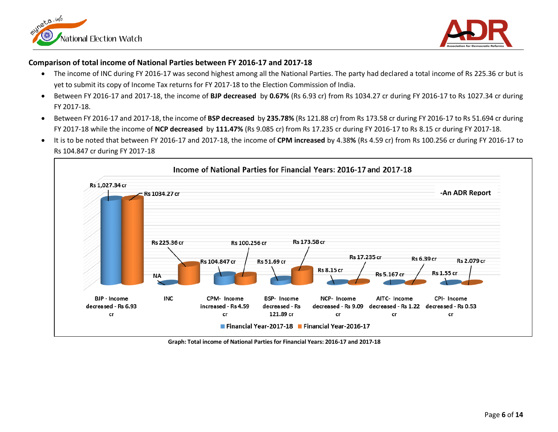



#### <span id="page-5-0"></span>**Comparison of total income of National Parties between FY 2016-17 and 2017-18**

- The income of INC during FY 2016-17 was second highest among all the National Parties. The party had declared a total income of Rs 225.36 cr but is yet to submit its copy of Income Tax returns for FY 2017-18 to the Election Commission of India.
- Between FY 2016-17 and 2017-18, the income of **BJP decreased** by **0.67%** (Rs 6.93 cr) from Rs 1034.27 cr during FY 2016-17 to Rs 1027.34 cr during FY 2017-18.
- Between FY 2016-17 and 2017-18, the income of **BSP decreased** by **235.78%** (Rs 121.88 cr) from Rs 173.58 cr during FY 2016-17 to Rs 51.694 cr during FY 2017-18 while the income of **NCP decreased** by **111.47%** (Rs 9.085 cr) from Rs 17.235 cr during FY 2016-17 to Rs 8.15 cr during FY 2017-18.
- It is to be noted that between FY 2016-17 and 2017-18, the income of **CPM increased** by 4.38**%** (Rs 4.59 cr) from Rs 100.256 cr during FY 2016-17 to Rs 104.847 cr during FY 2017-18



**Graph: Total income of National Parties for Financial Years: 2016-17 and 2017-18**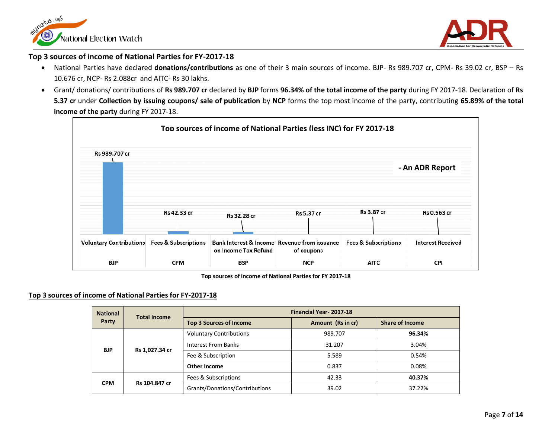



#### <span id="page-6-0"></span>**Top 3 sources of income of National Parties for FY-2017-18**

- National Parties have declared **donations/contributions** as one of their 3 main sources of income. BJP- Rs 989.707 cr, CPM- Rs 39.02 cr, BSP Rs 10.676 cr, NCP- Rs 2.088cr and AITC- Rs 30 lakhs.
- Grant/ donations/ contributions of **Rs 989.707 cr** declared by **BJP** forms **96.34% of the total income of the party** during FY 2017-18. Declaration of **Rs 5.37 cr** under **Collection by issuing coupons/ sale of publication** by **NCP** forms the top most income of the party, contributing **65.89% of the total income of the party** during FY 2017-18.



**Top sources of income of National Parties for FY 2017-18**

#### **Top 3 sources of income of National Parties for FY-2017-18**

| <b>National</b> | <b>Total Income</b>          | <b>Financial Year-2017-18</b>  |                   |                        |       |  |
|-----------------|------------------------------|--------------------------------|-------------------|------------------------|-------|--|
| Party           |                              | <b>Top 3 Sources of Income</b> | Amount (Rs in cr) | <b>Share of Income</b> |       |  |
|                 | <b>BJP</b><br>Rs 1,027.34 cr | <b>Voluntary Contributions</b> | 989.707           | 96.34%                 |       |  |
|                 |                              | <b>Interest From Banks</b>     | 31.207            | 3.04%                  |       |  |
|                 |                              | Fee & Subscription             | 5.589             | 0.54%                  |       |  |
|                 |                              |                                | Other Income      | 0.837                  | 0.08% |  |
| <b>CPM</b>      | Rs 104.847 cr                | Fees & Subscriptions           | 42.33             | 40.37%                 |       |  |
|                 |                              | Grants/Donations/Contributions | 39.02             | 37.22%                 |       |  |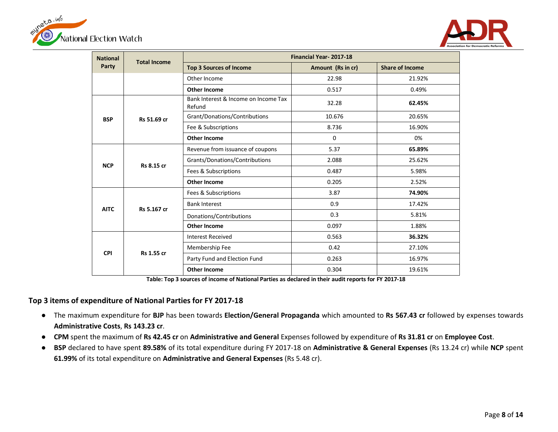



| <b>National</b> | <b>Total Income</b> | Financial Year-2017-18                         |                   |                        |  |  |  |
|-----------------|---------------------|------------------------------------------------|-------------------|------------------------|--|--|--|
| Party           |                     | <b>Top 3 Sources of Income</b>                 | Amount (Rs in cr) | <b>Share of Income</b> |  |  |  |
|                 |                     | Other Income                                   | 22.98             | 21.92%                 |  |  |  |
|                 |                     | <b>Other Income</b>                            | 0.517             | 0.49%                  |  |  |  |
|                 |                     | Bank Interest & Income on Income Tax<br>Refund | 32.28             | 62.45%                 |  |  |  |
| <b>BSP</b>      | Rs 51.69 cr         | Grant/Donations/Contributions                  | 10.676            | 20.65%                 |  |  |  |
|                 |                     | Fee & Subscriptions                            | 8.736             | 16.90%                 |  |  |  |
|                 |                     | <b>Other Income</b>                            | 0                 | 0%                     |  |  |  |
| <b>NCP</b>      |                     | Revenue from issuance of coupons               | 5.37              | 65.89%                 |  |  |  |
|                 | Rs 8.15 cr          | Grants/Donations/Contributions                 | 2.088             | 25.62%                 |  |  |  |
|                 |                     | Fees & Subscriptions                           | 0.487             | 5.98%                  |  |  |  |
|                 |                     | <b>Other Income</b>                            | 0.205             | 2.52%                  |  |  |  |
|                 |                     | Fees & Subscriptions                           | 3.87              | 74.90%                 |  |  |  |
| <b>AITC</b>     | Rs 5.167 cr         | <b>Bank Interest</b>                           | 0.9               | 17.42%                 |  |  |  |
|                 |                     | Donations/Contributions                        | 0.3               | 5.81%                  |  |  |  |
|                 |                     | <b>Other Income</b>                            | 0.097             | 1.88%                  |  |  |  |
|                 |                     | <b>Interest Received</b>                       | 0.563             | 36.32%                 |  |  |  |
| <b>CPI</b>      | <b>Rs 1.55 cr</b>   | Membership Fee                                 | 0.42              | 27.10%                 |  |  |  |
|                 |                     | Party Fund and Election Fund                   | 0.263             | 16.97%                 |  |  |  |
|                 |                     | <b>Other Income</b>                            | 0.304             | 19.61%                 |  |  |  |

**Table: Top 3 sources of income of National Parties as declared in their audit reports for FY 2017-18**

#### **Top 3 items of expenditure of National Parties for FY 2017-18**

 $\overline{a}$ 

- The maximum expenditure for **BJP** has been towards **Election/General Propaganda** which amounted to **Rs 567.43 cr** followed by expenses towards **Administrative Costs**, **Rs 143.23 cr**.
- **CPM** spent the maximum of **Rs 42.45 cr** on **Administrative and General** Expenses followed by expenditure of **Rs 31.81 cr** on **Employee Cost**.
- **BSP** declared to have spent **89.58%** of its total expenditure during FY 2017-18 on **Administrative & General Expenses** (Rs 13.24 cr) while **NCP** spent **61.99%** of its total expenditure on **Administrative and General Expenses** (Rs 5.48 cr).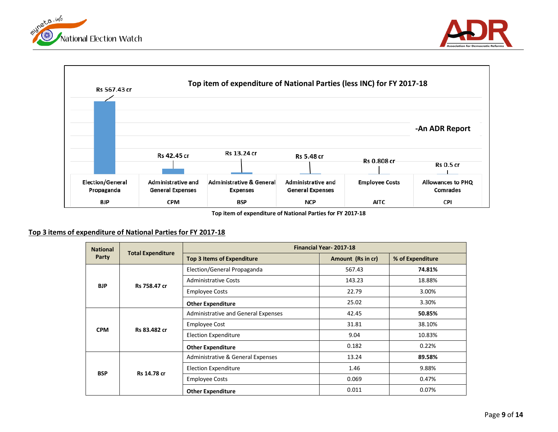





**Top item of expenditure of National Parties for FY 2017-18**

#### **Top 3 items of expenditure of National Parties for FY 2017-18**

| <b>National</b> |                    | <b>Financial Year-2017-18</b><br><b>Total Expenditure</b> |                   |                  |  |  |
|-----------------|--------------------|-----------------------------------------------------------|-------------------|------------------|--|--|
| Party           |                    | <b>Top 3 Items of Expenditure</b>                         | Amount (Rs in cr) | % of Expenditure |  |  |
| <b>BJP</b>      |                    | Election/General Propaganda                               | 567.43            | 74.81%           |  |  |
|                 | Rs 758.47 cr       | <b>Administrative Costs</b>                               | 143.23            | 18.88%           |  |  |
|                 |                    | <b>Employee Costs</b>                                     | 22.79             | 3.00%            |  |  |
|                 |                    | <b>Other Expenditure</b>                                  | 25.02             | 3.30%            |  |  |
|                 | Rs 83.482 cr       | Administrative and General Expenses                       | 42.45             | 50.85%           |  |  |
| <b>CPM</b>      |                    | Employee Cost                                             | 31.81             | 38.10%           |  |  |
|                 |                    | <b>Election Expenditure</b>                               | 9.04              | 10.83%           |  |  |
|                 |                    | <b>Other Expenditure</b>                                  | 0.182             | 0.22%            |  |  |
|                 |                    | Administrative & General Expenses                         | 13.24             | 89.58%           |  |  |
| <b>BSP</b>      | <b>Rs 14.78 cr</b> | <b>Election Expenditure</b>                               | 1.46              | 9.88%            |  |  |
|                 |                    | <b>Employee Costs</b>                                     | 0.069             | 0.47%            |  |  |
|                 |                    | <b>Other Expenditure</b>                                  | 0.011             | 0.07%            |  |  |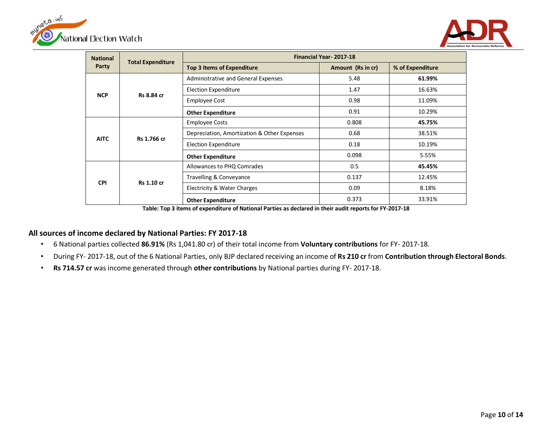



|                 |                          |                                             |                   | <b>Association fo</b> |  |  |  |
|-----------------|--------------------------|---------------------------------------------|-------------------|-----------------------|--|--|--|
| <b>National</b> | <b>Total Expenditure</b> | <b>Financial Year-2017-18</b>               |                   |                       |  |  |  |
| Party           |                          | <b>Top 3 Items of Expenditure</b>           | Amount (Rs in cr) | % of Expenditure      |  |  |  |
| <b>NCP</b>      |                          | Administrative and General Expenses         | 5.48              | 61.99%                |  |  |  |
|                 | Rs 8.84 cr               | <b>Election Expenditure</b>                 | 1.47              | 16.63%                |  |  |  |
|                 |                          | <b>Employee Cost</b>                        | 0.98              | 11.09%                |  |  |  |
|                 |                          | <b>Other Expenditure</b>                    | 0.91              | 10.29%                |  |  |  |
|                 | Rs 1.766 cr              | <b>Employee Costs</b>                       | 0.808             | 45.75%                |  |  |  |
|                 |                          | Depreciation, Amortization & Other Expenses | 0.68              | 38.51%                |  |  |  |
| <b>AITC</b>     |                          | <b>Election Expenditure</b>                 | 0.18              | 10.19%                |  |  |  |
|                 |                          | <b>Other Expenditure</b>                    | 0.098             | 5.55%                 |  |  |  |
|                 |                          | Allowances to PHQ Comrades                  | 0.5               | 45.45%                |  |  |  |
| <b>CPI</b>      |                          | Travelling & Conveyance                     | 0.137             | 12.45%                |  |  |  |
|                 | Rs 1.10 cr               | Electricity & Water Charges                 | 0.09              | 8.18%                 |  |  |  |
|                 |                          | <b>Other Expenditure</b>                    | 0.373             | 33.91%                |  |  |  |

**Table: Top 3 items of expenditure of National Parties as declared in their audit reports for FY-2017-18**

#### <span id="page-9-0"></span>**All sources of income declared by National Parties: FY 2017-18**

- 6 National parties collected **86.91%** (Rs 1,041.80 cr) of their total income from **Voluntary contributions** for FY- 2017-18.
- During FY- 2017-18, out of the 6 National Parties, only BJP declared receiving an income of **Rs 210 cr** from **Contribution through Electoral Bonds**.
- **Rs 714.57 cr** was income generated through **other contributions** by National parties during FY- 2017-18.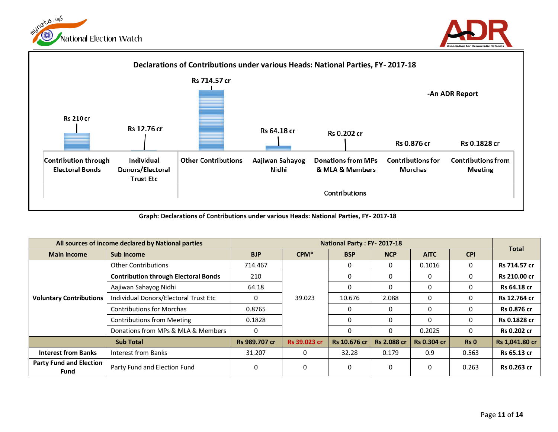





**Graph: Declarations of Contributions under various Heads: National Parties, FY- 2017-18**

| All sources of income declared by National parties |                                             | National Party: FY-2017-18 |              |              |                    |                    | <b>Total</b> |                    |              |                    |
|----------------------------------------------------|---------------------------------------------|----------------------------|--------------|--------------|--------------------|--------------------|--------------|--------------------|--------------|--------------------|
| <b>Main Income</b>                                 | Sub Income                                  | <b>BJP</b>                 | $CPM*$       | <b>BSP</b>   | <b>NCP</b>         | <b>AITC</b>        | <b>CPI</b>   |                    |              |                    |
|                                                    | <b>Other Contributions</b>                  | 714.467                    |              |              |                    | 0.1016             | $\Omega$     | Rs 714.57 cr       |              |                    |
|                                                    | <b>Contribution through Electoral Bonds</b> | 210                        |              |              |                    | 0                  | $\Omega$     | Rs 210.00 cr       |              |                    |
|                                                    | Aajiwan Sahayog Nidhi                       | 64.18                      |              |              | $\Omega$           | 0                  | $\Omega$     | Rs 64.18 cr        |              |                    |
| <b>Voluntary Contributions</b>                     | Individual Donors/Electoral Trust Etc       | 0                          | 39.023       | 10.676       | 2.088              | $\Omega$           | $\Omega$     | Rs 12.764 cr       |              |                    |
|                                                    | <b>Contributions for Morchas</b>            | 0.8765                     |              |              |                    |                    | $\Omega$     | 0                  | $\Omega$     | <b>Rs 0.876 cr</b> |
|                                                    | <b>Contributions from Meeting</b>           | 0.1828                     |              |              |                    | $\Omega$           | 0            | $\Omega$           | Rs 0.1828 cr |                    |
|                                                    | Donations from MPs & MLA & Members          | $\Omega$                   |              |              | $\Omega$           | 0.2025             | $\Omega$     | <b>Rs 0.202 cr</b> |              |                    |
| <b>Sub Total</b>                                   |                                             | Rs 989.707 cr              | Rs 39.023 cr | Rs 10.676 cr | <b>Rs 2.088 cr</b> | <b>Rs 0.304 cr</b> | Rs 0         | Rs 1,041.80 cr     |              |                    |
| <b>Interest from Banks</b>                         | Interest from Banks                         | 31.207                     | $\Omega$     | 32.28        | 0.179              | 0.9                | 0.563        | Rs 65.13 cr        |              |                    |
| <b>Party Fund and Election</b><br>Fund             | Party Fund and Election Fund                | $\Omega$                   | 0            | $\Omega$     | $\Omega$           | 0                  | 0.263        | <b>Rs 0.263 cr</b> |              |                    |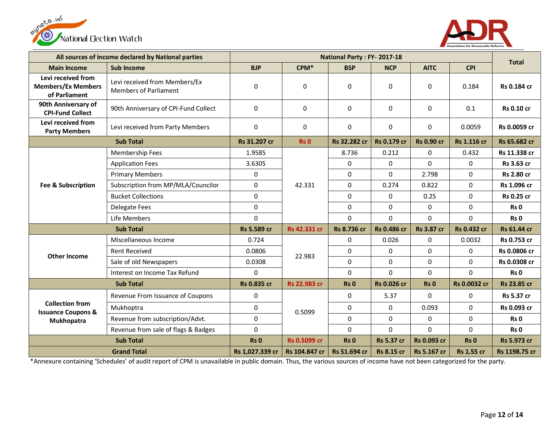



|                                                                  | All sources of income declared by National parties            |                    |                     | National Party: FY-2017-18 |                    |                   |                    |                    |             |             |
|------------------------------------------------------------------|---------------------------------------------------------------|--------------------|---------------------|----------------------------|--------------------|-------------------|--------------------|--------------------|-------------|-------------|
| <b>Main Income</b>                                               | Sub Income                                                    | <b>BJP</b>         | $CPM*$              | <b>BSP</b>                 | <b>NCP</b>         | <b>AITC</b>       | <b>CPI</b>         | <b>Total</b>       |             |             |
| Levi received from<br><b>Members/Ex Members</b><br>of Parliament | Levi received from Members/Ex<br><b>Members of Parliament</b> | $\boldsymbol{0}$   | $\mathbf 0$         | 0                          | $\Omega$           | 0                 | 0.184              | Rs 0.184 cr        |             |             |
| 90th Anniversary of<br><b>CPI-Fund Collect</b>                   | 90th Anniversary of CPI-Fund Collect                          | $\mathbf 0$        | 0                   | $\Omega$                   | $\Omega$           | $\mathbf 0$       | 0.1                | <b>Rs 0.10 cr</b>  |             |             |
| Levi received from<br><b>Party Members</b>                       | Levi received from Party Members                              | 0                  | $\mathbf 0$         | 0                          | $\Omega$           | $\Omega$          | 0.0059             | Rs 0.0059 cr       |             |             |
|                                                                  | <b>Sub Total</b>                                              | Rs 31.207 cr       | Rs <sub>0</sub>     | Rs 32.282 cr               | <b>Rs 0.179 cr</b> | <b>Rs 0.90 cr</b> | <b>Rs 1.116 cr</b> | Rs 65.682 cr       |             |             |
|                                                                  | Membership Fees                                               | 1.9585             |                     | 8.736                      | 0.212              | $\mathbf 0$       | 0.432              | Rs 11.338 cr       |             |             |
| Fee & Subscription                                               | <b>Application Fees</b>                                       | 3.6305             |                     | 0                          | 0                  | $\overline{0}$    | $\mathbf 0$        | Rs 3.63 cr         |             |             |
|                                                                  | <b>Primary Members</b>                                        | 0                  |                     | $\Omega$                   | $\Omega$           | 2.798             | $\mathbf 0$        | <b>Rs 2.80 cr</b>  |             |             |
|                                                                  | Subscription from MP/MLA/Councilor                            | 0                  | 42.331              | $\Omega$                   | 0.274              | 0.822             | $\mathbf 0$        | Rs 1.096 cr        |             |             |
|                                                                  | <b>Bucket Collections</b>                                     | $\mathbf 0$        |                     | $\Omega$                   | 0                  | 0.25              | $\mathbf 0$        | <b>Rs 0.25 cr</b>  |             |             |
|                                                                  | <b>Delegate Fees</b>                                          | 0                  |                     |                            |                    |                   | $\Omega$           | $\Omega$           | $\mathbf 0$ | $\mathbf 0$ |
|                                                                  | Life Members                                                  | $\Omega$           |                     |                            | 0                  | $\Omega$          | $\Omega$           | $\Omega$           | Rs 0        |             |
|                                                                  | <b>Sub Total</b>                                              | Rs 5.589 cr        | Rs 42.331 cr        | <b>Rs 8.736 cr</b>         | <b>Rs 0.486 cr</b> | <b>Rs 3.87 cr</b> | <b>Rs 0.432 cr</b> | <b>Rs 61.44 cr</b> |             |             |
|                                                                  | Miscellaneous Income                                          | 0.724              |                     | $\Omega$                   | 0.026              | 0                 | 0.0032             | Rs 0.753 cr        |             |             |
| <b>Other Income</b>                                              | <b>Rent Received</b>                                          | 0.0806             | 22.983              | $\Omega$                   | $\Omega$           | $\Omega$          | $\Omega$           | Rs 0.0806 cr       |             |             |
|                                                                  | Sale of old Newspapers                                        | 0.0308             |                     | 0                          | $\Omega$           | 0                 | $\mathbf 0$        | Rs 0.0308 cr       |             |             |
|                                                                  | Interest on Income Tax Refund                                 | $\Omega$           |                     | $\Omega$                   | $\Omega$           | $\Omega$          | $\Omega$           | Rs 0               |             |             |
|                                                                  | <b>Sub Total</b>                                              | <b>Rs 0.835 cr</b> | <b>Rs 22.983 cr</b> | Rs <sub>0</sub>            | Rs 0.026 cr        | <b>Rs 0</b>       | Rs 0.0032 cr       | <b>Rs 23.85 cr</b> |             |             |
|                                                                  | Revenue From Issuance of Coupons                              | $\pmb{0}$          |                     | 0                          | 5.37               | $\mathbf 0$       | $\mathbf 0$        | Rs 5.37 cr         |             |             |
| <b>Collection from</b><br><b>Issuance Coupons &amp;</b>          | Mukhoptra                                                     | 0                  | 0.5099              | 0                          | $\Omega$           | 0.093             | $\Omega$           | Rs 0.093 cr        |             |             |
| Mukhopatra                                                       | Revenue from subscription/Advt.                               | $\mathbf 0$        |                     | $\Omega$                   | 0                  | 0                 | 0                  | Rs 0               |             |             |
|                                                                  | Revenue from sale of flags & Badges                           | $\mathbf 0$        |                     | $\Omega$                   | $\Omega$           | $\overline{0}$    | $\Omega$           | Rs 0               |             |             |
|                                                                  | <b>Sub Total</b>                                              | Rs <sub>0</sub>    | Rs 0.5099 cr        | Rs <sub>0</sub>            | <b>Rs 5.37 cr</b>  | Rs 0.093 cr       | Rs <sub>0</sub>    | <b>Rs 5.973 cr</b> |             |             |
| <b>Grand Total</b>                                               |                                                               | Rs 1,027.339 cr    | Rs 104.847 cr       | Rs 51.694 cr               | <b>Rs 8.15 cr</b>  | Rs 5.167 cr       | <b>Rs 1.55 cr</b>  | Rs 1198.75 cr      |             |             |

\*Annexure containing 'Schedules' of audit report of CPM is unavailable in public domain. Thus, the various sources of income have not been categorized for the party.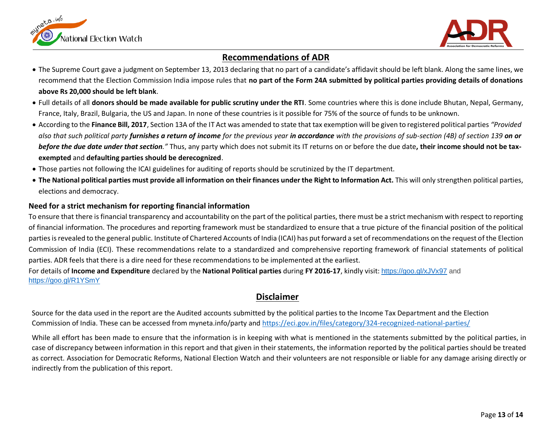



### **Recommendations of ADR**

- <span id="page-12-0"></span> The Supreme Court gave a judgment on September 13, 2013 declaring that no part of a candidate's affidavit should be left blank. Along the same lines, we recommend that the Election Commission India impose rules that **no part of the Form 24A submitted by political parties providing details of donations above Rs 20,000 should be left blank**.
- Full details of all **donors should be made available for public scrutiny under the RTI**. Some countries where this is done include Bhutan, Nepal, Germany, France, Italy, Brazil, Bulgaria, the US and Japan. In none of these countries is it possible for 75% of the source of funds to be unknown.
- According to the **Finance Bill, 2017**, Section 13A of the IT Act was amended to state that tax exemption will be given to registered political parties *"Provided also that such political party furnishes a return of income for the previous year in accordance with the provisions of sub-section (4B) of section 139 on or before the due date under that section."* Thus, any party which does not submit its IT returns on or before the due date**, their income should not be taxexempted** and **defaulting parties should be derecognized**.
- Those parties not following the ICAI guidelines for auditing of reports should be scrutinized by the IT department.
- **The National political parties must provide all information on their finances under the Right to Information Act.** This will only strengthen political parties, elections and democracy.

#### <span id="page-12-1"></span>**Need for a strict mechanism for reporting financial information**

To ensure that there is financial transparency and accountability on the part of the political parties, there must be a strict mechanism with respect to reporting of financial information. The procedures and reporting framework must be standardized to ensure that a true picture of the financial position of the political parties is revealed to the general public. Institute of Chartered Accounts of India (ICAI) has put forward a set of recommendations on the request of the Election Commission of India (ECI). These recommendations relate to a standardized and comprehensive reporting framework of financial statements of political parties. ADR feels that there is a dire need for these recommendations to be implemented at the earliest.

For details of **Income and Expenditure** declared by the **National Political parties** during **FY 2016-17**, kindly visit: <https://goo.gl/xJVx97> and <https://goo.gl/R1YSmY>

## **Disclaimer**

<span id="page-12-2"></span>Source for the data used in the report are the Audited accounts submitted by the political parties to the Income Tax Department and the Election Commission of India. These can be accessed from myneta.info/party and <https://eci.gov.in/files/category/324-recognized-national-parties/>

While all effort has been made to ensure that the information is in keeping with what is mentioned in the statements submitted by the political parties, in case of discrepancy between information in this report and that given in their statements, the information reported by the political parties should be treated as correct. Association for Democratic Reforms, National Election Watch and their volunteers are not responsible or liable for any damage arising directly or indirectly from the publication of this report.